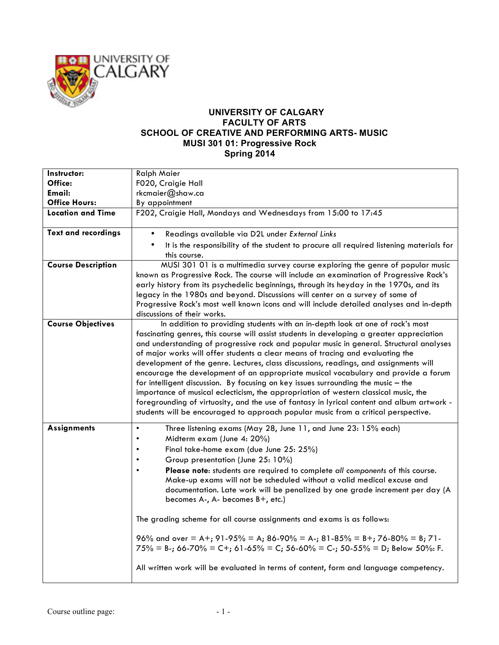

## **UNIVERSITY OF CALGARY FACULTY OF ARTS SCHOOL OF CREATIVE AND PERFORMING ARTS- MUSIC MUSI 301 01: Progressive Rock Spring 2014**

| Instructor:                | <b>Ralph Maier</b>                                                                                                                                                                                                                                                                                                                                                                                                                                                                                                                                                                                                                                                                                                                                                                                                                                                                                      |
|----------------------------|---------------------------------------------------------------------------------------------------------------------------------------------------------------------------------------------------------------------------------------------------------------------------------------------------------------------------------------------------------------------------------------------------------------------------------------------------------------------------------------------------------------------------------------------------------------------------------------------------------------------------------------------------------------------------------------------------------------------------------------------------------------------------------------------------------------------------------------------------------------------------------------------------------|
| Office:                    | F020, Craigie Hall                                                                                                                                                                                                                                                                                                                                                                                                                                                                                                                                                                                                                                                                                                                                                                                                                                                                                      |
| Email:                     | rkcmaier@shaw.ca                                                                                                                                                                                                                                                                                                                                                                                                                                                                                                                                                                                                                                                                                                                                                                                                                                                                                        |
| <b>Office Hours:</b>       | By appointment                                                                                                                                                                                                                                                                                                                                                                                                                                                                                                                                                                                                                                                                                                                                                                                                                                                                                          |
| <b>Location and Time</b>   | F202, Craigie Hall, Mondays and Wednesdays from 15:00 to 17:45                                                                                                                                                                                                                                                                                                                                                                                                                                                                                                                                                                                                                                                                                                                                                                                                                                          |
| <b>Text and recordings</b> | Readings available via D2L under External Links                                                                                                                                                                                                                                                                                                                                                                                                                                                                                                                                                                                                                                                                                                                                                                                                                                                         |
|                            | It is the responsibility of the student to procure all required listening materials for<br>this course.                                                                                                                                                                                                                                                                                                                                                                                                                                                                                                                                                                                                                                                                                                                                                                                                 |
| <b>Course Description</b>  | MUSI 301 01 is a multimedia survey course exploring the genre of popular music<br>known as Progressive Rock. The course will include an examination of Progressive Rock's<br>early history from its psychedelic beginnings, through its heyday in the 1970s, and its<br>legacy in the 1980s and beyond. Discussions will center on a survey of some of<br>Progressive Rock's most well known icons and will include detailed analyses and in-depth<br>discussions of their works.                                                                                                                                                                                                                                                                                                                                                                                                                       |
| <b>Course Objectives</b>   | In addition to providing students with an in-depth look at one of rock's most<br>fascinating genres, this course will assist students in developing a greater appreciation<br>and understanding of progressive rock and popular music in general. Structural analyses<br>of major works will offer students a clear means of tracing and evaluating the<br>development of the genre. Lectures, class discussions, readings, and assignments will<br>encourage the development of an appropriate musical vocabulary and provide a forum<br>for intelligent discussion. By focusing on key issues surrounding the music - the<br>importance of musical eclecticism, the appropriation of western classical music, the<br>foregrounding of virtuosity, and the use of fantasy in lyrical content and album artwork -<br>students will be encouraged to approach popular music from a critical perspective. |
| <b>Assignments</b>         | Three listening exams (May 28, June 11, and June 23: 15% each)<br>$\bullet$<br>Midterm exam (June 4: 20%)<br>Final take-home exam (due June 25: 25%)<br>Group presentation (June 25: 10%)<br>Please note: students are required to complete all components of this course.<br>Make-up exams will not be scheduled without a valid medical excuse and<br>documentation. Late work will be penalized by one grade increment per day (A<br>becomes A-, A- becomes B+, etc.)<br>The grading scheme for all course assignments and exams is as follows:<br>96% and over = A+; 91-95% = A; 86-90% = A-; 81-85% = B+; 76-80% = B; 71-<br>$75\% = B$ -; 66-70% = C+; 61-65% = C; 56-60% = C-; 50-55% = D; Below 50%: F.<br>All written work will be evaluated in terms of content, form and language competency.                                                                                                |